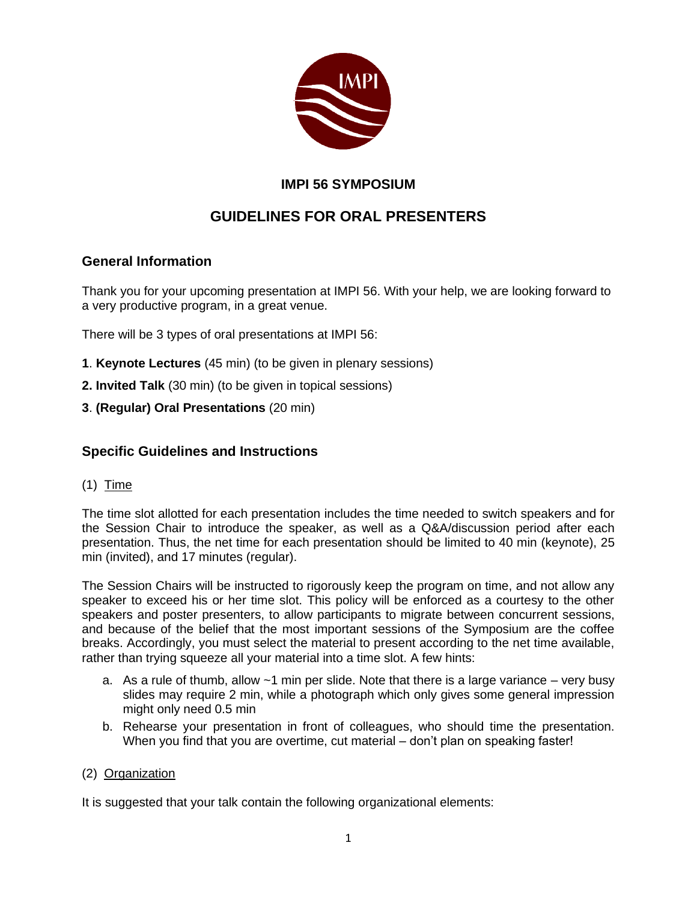

## **IMPI 56 SYMPOSIUM**

# **GUIDELINES FOR ORAL PRESENTERS**

## **General Information**

Thank you for your upcoming presentation at IMPI 56. With your help, we are looking forward to a very productive program, in a great venue.

There will be 3 types of oral presentations at IMPI 56:

- **1**. **Keynote Lectures** (45 min) (to be given in plenary sessions)
- **2. Invited Talk** (30 min) (to be given in topical sessions)
- **3**. **(Regular) Oral Presentations** (20 min)

### **Specific Guidelines and Instructions**

#### (1) Time

The time slot allotted for each presentation includes the time needed to switch speakers and for the Session Chair to introduce the speaker, as well as a Q&A/discussion period after each presentation. Thus, the net time for each presentation should be limited to 40 min (keynote), 25 min (invited), and 17 minutes (regular).

The Session Chairs will be instructed to rigorously keep the program on time, and not allow any speaker to exceed his or her time slot. This policy will be enforced as a courtesy to the other speakers and poster presenters, to allow participants to migrate between concurrent sessions, and because of the belief that the most important sessions of the Symposium are the coffee breaks. Accordingly, you must select the material to present according to the net time available, rather than trying squeeze all your material into a time slot. A few hints:

- a. As a rule of thumb, allow  $\sim$ 1 min per slide. Note that there is a large variance very busy slides may require 2 min, while a photograph which only gives some general impression might only need 0.5 min
- b. Rehearse your presentation in front of colleagues, who should time the presentation. When you find that you are overtime, cut material – don't plan on speaking faster!

#### (2) Organization

It is suggested that your talk contain the following organizational elements: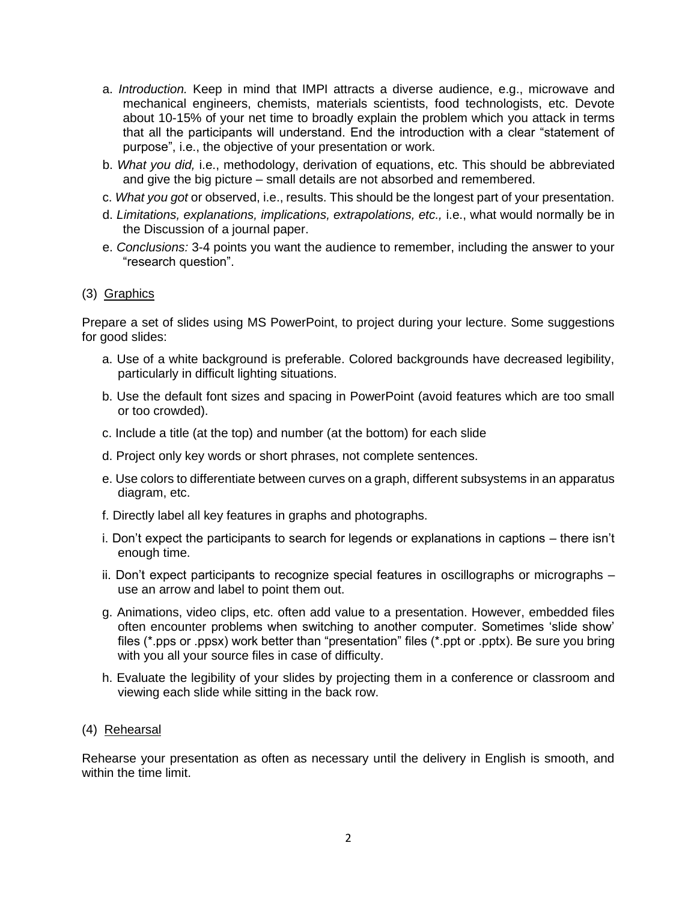- a. *Introduction.* Keep in mind that IMPI attracts a diverse audience, e.g., microwave and mechanical engineers, chemists, materials scientists, food technologists, etc. Devote about 10-15% of your net time to broadly explain the problem which you attack in terms that all the participants will understand. End the introduction with a clear "statement of purpose", i.e., the objective of your presentation or work.
- b. *What you did,* i.e., methodology, derivation of equations, etc. This should be abbreviated and give the big picture – small details are not absorbed and remembered.
- c. *What you got* or observed, i.e., results. This should be the longest part of your presentation.
- d. *Limitations, explanations, implications, extrapolations, etc.,* i.e., what would normally be in the Discussion of a journal paper.
- e. *Conclusions:* 3-4 points you want the audience to remember, including the answer to your "research question".

#### (3) Graphics

Prepare a set of slides using MS PowerPoint, to project during your lecture. Some suggestions for good slides:

- a. Use of a white background is preferable. Colored backgrounds have decreased legibility, particularly in difficult lighting situations.
- b. Use the default font sizes and spacing in PowerPoint (avoid features which are too small or too crowded).
- c. Include a title (at the top) and number (at the bottom) for each slide
- d. Project only key words or short phrases, not complete sentences.
- e. Use colors to differentiate between curves on a graph, different subsystems in an apparatus diagram, etc.
- f. Directly label all key features in graphs and photographs.
- i. Don't expect the participants to search for legends or explanations in captions there isn't enough time.
- ii. Don't expect participants to recognize special features in oscillographs or micrographs use an arrow and label to point them out.
- g. Animations, video clips, etc. often add value to a presentation. However, embedded files often encounter problems when switching to another computer. Sometimes 'slide show' files (\*.pps or .ppsx) work better than "presentation" files (\*.ppt or .pptx). Be sure you bring with you all your source files in case of difficulty.
- h. Evaluate the legibility of your slides by projecting them in a conference or classroom and viewing each slide while sitting in the back row.

#### (4) Rehearsal

Rehearse your presentation as often as necessary until the delivery in English is smooth, and within the time limit.